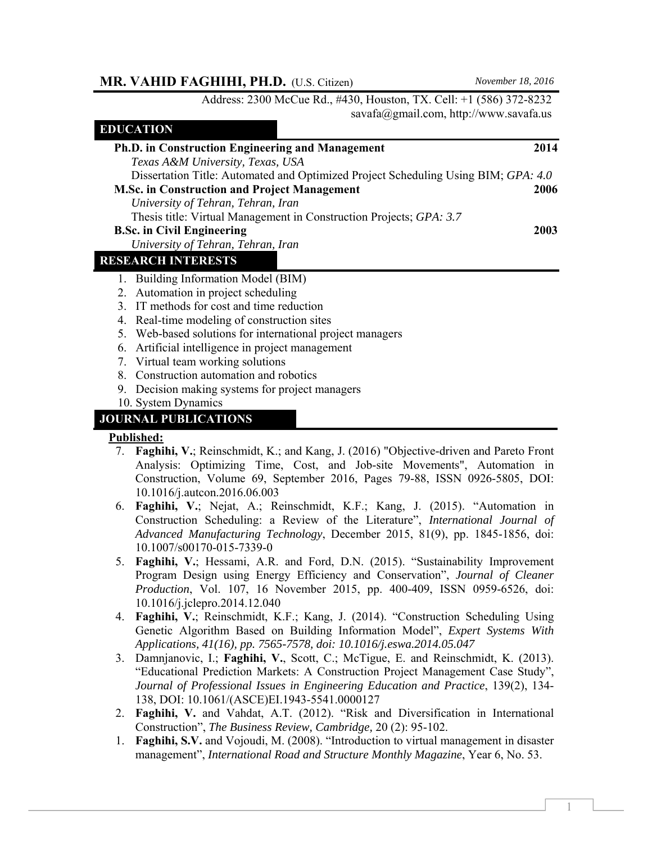# **MR. VAHID FAGHIHI, PH.D.** (U.S. Citizen) *November 18, 2016*

Address: 2300 McCue Rd., #430, Houston, TX. Cell: +1 (586) 372-8232 savafa@gmail.com, http://www.savafa.us

|    | LDUCATION                                                                          |      |
|----|------------------------------------------------------------------------------------|------|
|    | Ph.D. in Construction Engineering and Management                                   | 2014 |
|    | Texas A&M University, Texas, USA                                                   |      |
|    | Dissertation Title: Automated and Optimized Project Scheduling Using BIM; GPA: 4.0 |      |
|    | <b>M.Sc. in Construction and Project Management</b>                                | 2006 |
|    | University of Tehran, Tehran, Iran                                                 |      |
|    | Thesis title: Virtual Management in Construction Projects; GPA: 3.7                |      |
|    | <b>B.Sc. in Civil Engineering</b>                                                  | 2003 |
|    | University of Tehran, Tehran, Iran                                                 |      |
|    | <b>RESEARCH INTERESTS</b>                                                          |      |
|    | 1. Building Information Model (BIM)                                                |      |
|    | 2. Automation in project scheduling                                                |      |
|    | 3. IT methods for cost and time reduction                                          |      |
|    | 4. Real-time modeling of construction sites                                        |      |
|    | 5. Web-based solutions for international project managers                          |      |
| 6. | Artificial intelligence in project management                                      |      |
|    | 7. Virtual team working solutions                                                  |      |
|    | 8. Construction automation and robotics                                            |      |
| 9. | Decision making systems for project managers                                       |      |
|    | 10. System Dynamics                                                                |      |
|    | <b>JOURNAL PUBLICATIONS</b>                                                        |      |

### **Published:**

**EDUCATION** 

- 7. **Faghihi, V.**; Reinschmidt, K.; and Kang, J. (2016) "Objective-driven and Pareto Front Analysis: Optimizing Time, Cost, and Job-site Movements", Automation in Construction, Volume 69, September 2016, Pages 79-88, ISSN 0926-5805, DOI: 10.1016/j.autcon.2016.06.003
- 6. **Faghihi, V.**; Nejat, A.; Reinschmidt, K.F.; Kang, J. (2015). "Automation in Construction Scheduling: a Review of the Literature", *International Journal of Advanced Manufacturing Technology*, December 2015, 81(9), pp. 1845-1856, doi: 10.1007/s00170-015-7339-0
- 5. **Faghihi, V.**; Hessami, A.R. and Ford, D.N. (2015). "Sustainability Improvement Program Design using Energy Efficiency and Conservation", *Journal of Cleaner Production*, Vol. 107, 16 November 2015, pp. 400-409, ISSN 0959-6526, doi: 10.1016/j.jclepro.2014.12.040
- 4. **Faghihi, V.**; Reinschmidt, K.F.; Kang, J. (2014). "Construction Scheduling Using Genetic Algorithm Based on Building Information Model", *Expert Systems With Applications, 41(16), pp. 7565-7578, doi: 10.1016/j.eswa.2014.05.047*
- 3. Damnjanovic, I.; **Faghihi, V.**, Scott, C.; McTigue, E. and Reinschmidt, K. (2013). "Educational Prediction Markets: A Construction Project Management Case Study", *Journal of Professional Issues in Engineering Education and Practice*, 139(2), 134- 138, DOI: 10.1061/(ASCE)EI.1943-5541.0000127
- 2. **Faghihi, V.** and Vahdat, A.T. (2012). "Risk and Diversification in International Construction", *The Business Review, Cambridge,* 20 (2): 95-102.
- 1. **Faghihi, S.V.** and Vojoudi, M. (2008). "Introduction to virtual management in disaster management", *International Road and Structure Monthly Magazine*, Year 6, No. 53.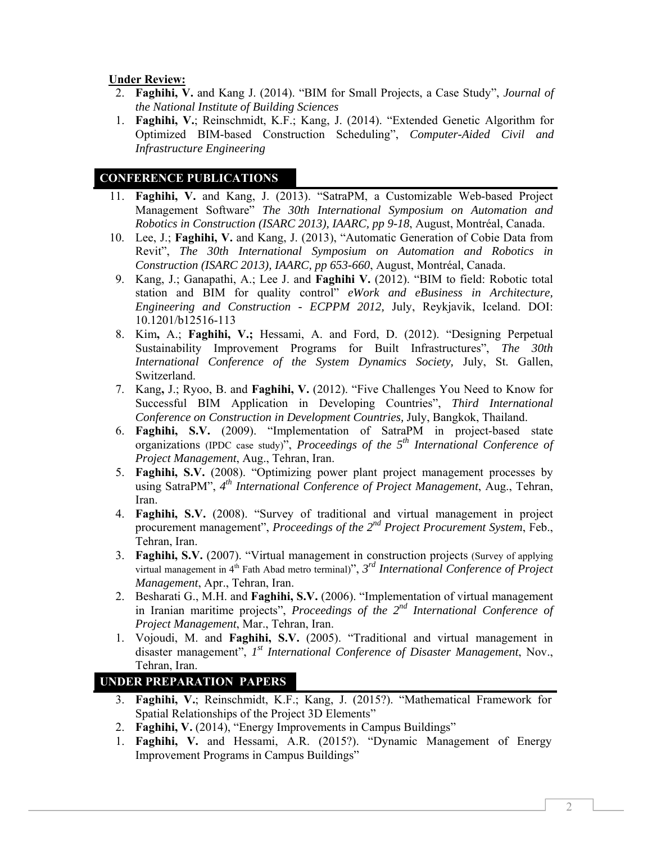# **Under Review:**

- 2. **Faghihi, V.** and Kang J. (2014). "BIM for Small Projects, a Case Study", *Journal of the National Institute of Building Sciences*
- 1. **Faghihi, V.**; Reinschmidt, K.F.; Kang, J. (2014). "Extended Genetic Algorithm for Optimized BIM-based Construction Scheduling", *Computer-Aided Civil and Infrastructure Engineering*

# **CONFERENCE PUBLICATIONS**

- 11. **Faghihi, V.** and Kang, J. (2013). "SatraPM, a Customizable Web-based Project Management Software" *The 30th International Symposium on Automation and Robotics in Construction (ISARC 2013), IAARC, pp 9-18*, August, Montréal, Canada.
- 10. Lee, J.; **Faghihi, V.** and Kang, J. (2013), "Automatic Generation of Cobie Data from Revit", *The 30th International Symposium on Automation and Robotics in Construction (ISARC 2013), IAARC, pp 653-660*, August, Montréal, Canada.
- 9. Kang, J.; Ganapathi, A.; Lee J. and **Faghihi V.** (2012). "BIM to field: Robotic total station and BIM for quality control" *eWork and eBusiness in Architecture, Engineering and Construction - ECPPM 2012,* July, Reykjavik, Iceland. DOI: 10.1201/b12516-113
- 8. Kim**,** A.; **Faghihi, V.;** Hessami, A. and Ford, D. (2012). "Designing Perpetual Sustainability Improvement Programs for Built Infrastructures", *The 30th International Conference of the System Dynamics Society,* July, St. Gallen, Switzerland.
- 7. Kang**,** J.; Ryoo, B. and **Faghihi, V.** (2012). "Five Challenges You Need to Know for Successful BIM Application in Developing Countries", *Third International Conference on Construction in Development Countries,* July, Bangkok, Thailand.
- 6. **Faghihi, S.V.** (2009). "Implementation of SatraPM in project-based state organizations (IPDC case study)", *Proceedings of the 5th International Conference of Project Management*, Aug., Tehran, Iran.
- 5. **Faghihi, S.V.** (2008). "Optimizing power plant project management processes by using SatraPM", *4th International Conference of Project Management*, Aug., Tehran, Iran.
- 4. **Faghihi, S.V.** (2008). "Survey of traditional and virtual management in project procurement management", *Proceedings of the 2nd Project Procurement System*, Feb., Tehran, Iran.
- 3. **Faghihi, S.V.** (2007). "Virtual management in construction projects (Survey of applying virtual management in 4th Fath Abad metro terminal)", *3rd International Conference of Project Management*, Apr., Tehran, Iran.
- 2. Besharati G., M.H. and **Faghihi, S.V.** (2006). "Implementation of virtual management in Iranian maritime projects", *Proceedings of the 2nd International Conference of Project Management*, Mar., Tehran, Iran.
- 1. Vojoudi, M. and **Faghihi, S.V.** (2005). "Traditional and virtual management in disaster management", *1st International Conference of Disaster Management*, Nov., Tehran, Iran.

# **UNDER PREPARATION PAPERS**

- 3. **Faghihi, V.**; Reinschmidt, K.F.; Kang, J. (2015?). "Mathematical Framework for Spatial Relationships of the Project 3D Elements"
- 2. **Faghihi, V.** (2014), "Energy Improvements in Campus Buildings"
- 1. **Faghihi, V.** and Hessami, A.R. (2015?). "Dynamic Management of Energy Improvement Programs in Campus Buildings"

2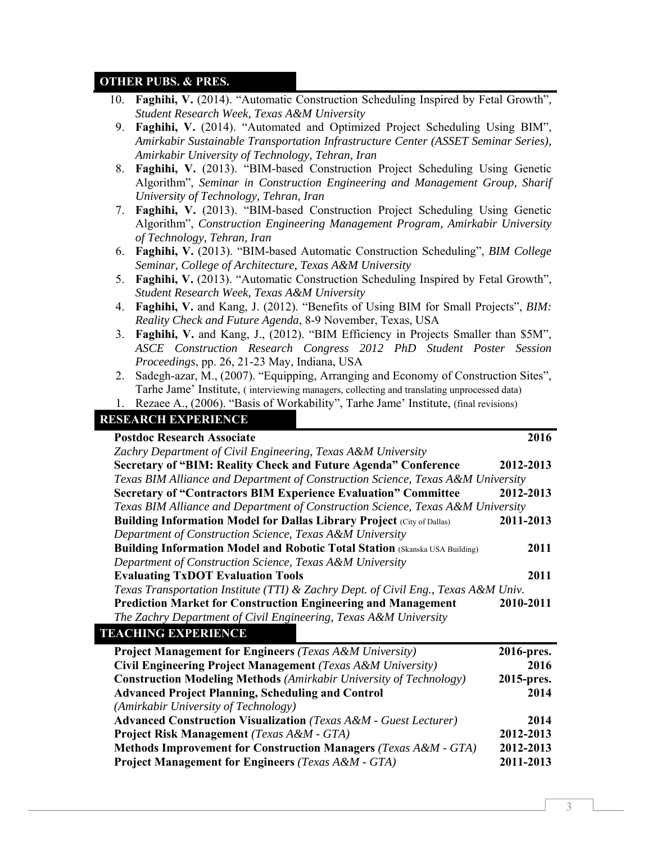## **OTHER PUBS. & PRES.**

| 10. Faghihi, V. (2014). "Automatic Construction Scheduling Inspired by Fetal Growth", |
|---------------------------------------------------------------------------------------|
| Student Research Week, Texas A&M University                                           |

- 9. **Faghihi, V.** (2014). "Automated and Optimized Project Scheduling Using BIM", *Amirkabir Sustainable Transportation Infrastructure Center (ASSET Seminar Series), Amirkabir University of Technology, Tehran, Iran*
- 8. **Faghihi, V.** (2013). "BIM-based Construction Project Scheduling Using Genetic Algorithm", *Seminar in Construction Engineering and Management Group, Sharif University of Technology, Tehran, Iran*
- 7. **Faghihi, V.** (2013). "BIM-based Construction Project Scheduling Using Genetic Algorithm", *Construction Engineering Management Program, Amirkabir University of Technology, Tehran, Iran*
- 6. **Faghihi, V.** (2013). "BIM-based Automatic Construction Scheduling", *BIM College Seminar, College of Architecture, Texas A&M University*
- 5. **Faghihi, V.** (2013). "Automatic Construction Scheduling Inspired by Fetal Growth", *Student Research Week, Texas A&M University*
- 4. **Faghihi, V.** and Kang, J. (2012). "Benefits of Using BIM for Small Projects", *BIM: Reality Check and Future Agenda*, 8-9 November, Texas, USA
- 3. **Faghihi, V.** and Kang, J., (2012). "BIM Efficiency in Projects Smaller than \$5M", *ASCE Construction Research Congress 2012 PhD Student Poster Session Proceedings*, pp. 26, 21-23 May, Indiana, USA
- 2. Sadegh-azar, M., (2007). "Equipping, Arranging and Economy of Construction Sites", Tarhe Jame' Institute, ( interviewing managers, collecting and translating unprocessed data)

1. Rezaee A., (2006). "Basis of Workability", Tarhe Jame' Institute, (final revisions)

#### **RESEARCH EXPERIENCE**

| <b>Postdoc Research Associate</b>                                                  | 2016       |
|------------------------------------------------------------------------------------|------------|
| Zachry Department of Civil Engineering, Texas A&M University                       |            |
| Secretary of "BIM: Reality Check and Future Agenda" Conference                     | 2012-2013  |
| Texas BIM Alliance and Department of Construction Science, Texas A&M University    |            |
| <b>Secretary of "Contractors BIM Experience Evaluation" Committee</b>              | 2012-2013  |
| Texas BIM Alliance and Department of Construction Science, Texas A&M University    |            |
| <b>Building Information Model for Dallas Library Project (City of Dallas)</b>      | 2011-2013  |
| Department of Construction Science, Texas A&M University                           |            |
| <b>Building Information Model and Robotic Total Station (Skanska USA Building)</b> | 2011       |
| Department of Construction Science, Texas A&M University                           |            |
| <b>Evaluating TxDOT Evaluation Tools</b>                                           | 2011       |
| Texas Transportation Institute (TTI) & Zachry Dept. of Civil Eng., Texas A&M Univ. |            |
| <b>Prediction Market for Construction Engineering and Management</b>               | 2010-2011  |
| The Zachry Department of Civil Engineering, Texas A&M University                   |            |
| <b>TEACHING EXPERIENCE</b>                                                         |            |
| <b>Project Management for Engineers (Texas A&amp;M University)</b>                 | 2016-pres. |
| Civil Engineering Project Management (Texas A&M University)                        | 2016       |
| <b>Construction Modeling Methods</b> (Amirkabir University of Technology)          | 2015-pres. |
| <b>Advanced Project Planning, Scheduling and Control</b>                           | 2014       |
| (Amirkabir University of Technology)                                               |            |
| <b>Advanced Construction Visualization</b> (Texas A&M - Guest Lecturer)            | 2014       |
| Project Risk Management (Texas A&M - GTA)                                          | 2012-2013  |
| <b>Methods Improvement for Construction Managers</b> (Texas A&M - GTA)             | 2012-2013  |
| <b>Project Management for Engineers (Texas A&amp;M - GTA)</b>                      | 2011-2013  |